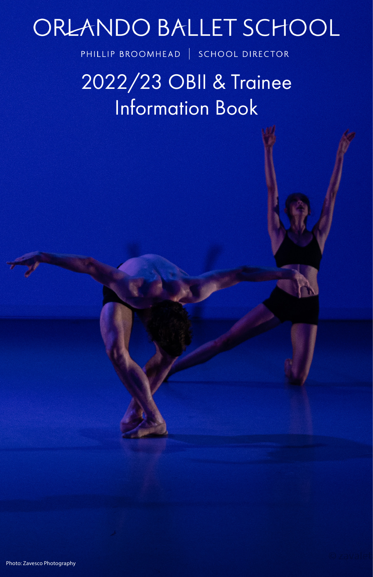# ORLANDO BALLET SCHOOL

PHILLIP BROOMHEAD | SCHOOL DIRECTOR

2022/23 OBII & Trainee Information Book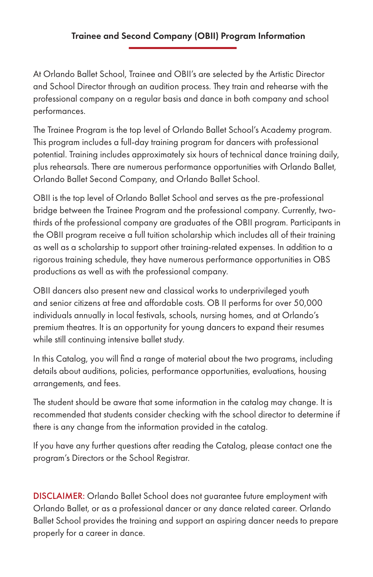# Trainee and Second Company (OBII) Program Information

At Orlando Ballet School, Trainee and OBII's are selected by the Artistic Director and School Director through an audition process. They train and rehearse with the professional company on a regular basis and dance in both company and school performances.

The Trainee Program is the top level of Orlando Ballet School's Academy program. This program includes a full-day training program for dancers with professional potential. Training includes approximately six hours of technical dance training daily, plus rehearsals. There are numerous performance opportunities with Orlando Ballet, Orlando Ballet Second Company, and Orlando Ballet School.

OBII is the top level of Orlando Ballet School and serves as the pre-professional bridge between the Trainee Program and the professional company. Currently, twothirds of the professional company are graduates of the OBII program. Participants in the OBII program receive a full tuition scholarship which includes all of their training as well as a scholarship to support other training-related expenses. In addition to a rigorous training schedule, they have numerous performance opportunities in OBS productions as well as with the professional company.

OBII dancers also present new and classical works to underprivileged youth and senior citizens at free and affordable costs. OB II performs for over 50,000 individuals annually in local festivals, schools, nursing homes, and at Orlando's premium theatres. It is an opportunity for young dancers to expand their resumes while still continuing intensive ballet study.

In this Catalog, you will find a range of material about the two programs, including details about auditions, policies, performance opportunities, evaluations, housing arrangements, and fees.

The student should be aware that some information in the catalog may change. It is recommended that students consider checking with the school director to determine if there is any change from the information provided in the catalog.

If you have any further questions after reading the Catalog, please contact one the program's Directors or the School Registrar.

DISCLAIMER: Orlando Ballet School does not guarantee future employment with Orlando Ballet, or as a professional dancer or any dance related career. Orlando Ballet School provides the training and support an aspiring dancer needs to prepare properly for a career in dance.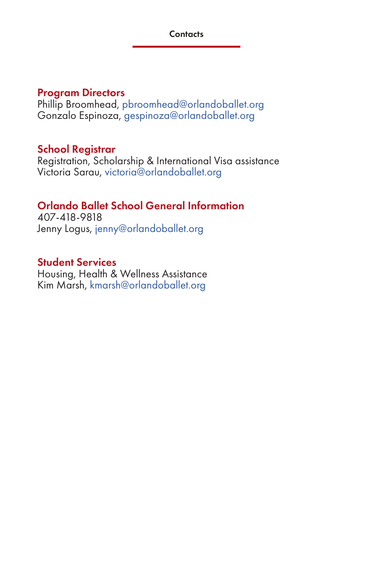# Program Directors

Phillip Broomhead, pbroomhead@orlandoballet.org Gonzalo Espinoza, gespinoza@orlandoballet.org

# School Registrar

Registration, Scholarship & International Visa assistance Victoria Sarau, victoria@orlandoballet.org

# Orlando Ballet School General Information

407-418-9818 Jenny Logus, jenny@orlandoballet.org

# Student Services

Housing, Health & Wellness Assistance Kim Marsh, kmarsh@orlandoballet.org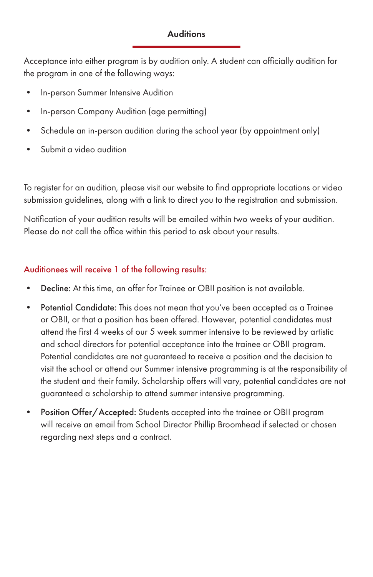# **Auditions**

Acceptance into either program is by audition only. A student can officially audition for the program in one of the following ways:

- In-person Summer Intensive Audition
- In-person Company Audition (age permitting)
- Schedule an in-person audition during the school year (by appointment only)
- Submit a video audition

To register for an audition, please visit our website to find appropriate locations or video submission guidelines, along with a link to direct you to the registration and submission.

Notification of your audition results will be emailed within two weeks of your audition. Please do not call the office within this period to ask about your results.

# Auditionees will receive 1 of the following results:

- Decline: At this time, an offer for Trainee or OBII position is not available.
- Potential Candidate: This does not mean that you've been accepted as a Trainee or OBII, or that a position has been offered. However, potential candidates must attend the first 4 weeks of our 5 week summer intensive to be reviewed by artistic and school directors for potential acceptance into the trainee or OBII program. Potential candidates are not guaranteed to receive a position and the decision to visit the school or attend our Summer intensive programming is at the responsibility of the student and their family. Scholarship offers will vary, potential candidates are not guaranteed a scholarship to attend summer intensive programming.
- Position Offer/Accepted: Students accepted into the trainee or OBII program will receive an email from School Director Phillip Broomhead if selected or chosen regarding next steps and a contract.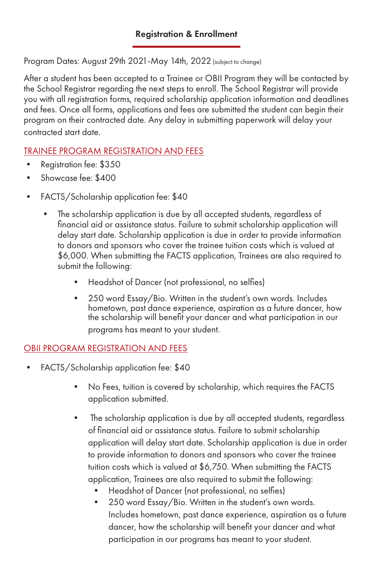Program Dates: August 29th 2021-May 14th, 2022 (subject to change)

After a student has been accepted to a Trainee or OBII Program they will be contacted by the School Registrar regarding the next steps to enroll. The School Registrar will provide you with all registration forms, required scholarship application information and deadlines and fees. Once all forms, applications and fees are submitted the student can begin their program on their contracted date. Any delay in submitting paperwork will delay your contracted start date.

# TRAINEE PROGRAM REGISTRATION AND FEES

- Registration fee: \$350
- Showcase fee: \$400
- FACTS/Scholarship application fee: \$40
	- The scholarship application is due by all accepted students, regardless of financial aid or assistance status. Failure to submit scholarship application will delay start date. Scholarship application is due in order to provide information to donors and sponsors who cover the trainee tuition costs which is valued at \$6,000. When submitting the FACTS application, Trainees are also required to submit the following:
		- Headshot of Dancer (not professional, no selfies)
		- 250 word Essay/Bio. Written in the student's own words. Includes hometown, past dance experience, aspiration as a future dancer, how the scholarship will benefit your dancer and what participation in our programs has meant to your student.

# OBII PROGRAM REGISTRATION AND FEES

- FACTS/Scholarship application fee: \$40
	- No Fees, tuition is covered by scholarship, which requires the FACTS application submitted.
	- The scholarship application is due by all accepted students, regardless of financial aid or assistance status. Failure to submit scholarship application will delay start date. Scholarship application is due in order to provide information to donors and sponsors who cover the trainee tuition costs which is valued at \$6,750. When submitting the FACTS application, Trainees are also required to submit the following:
		- Headshot of Dancer (not professional, no selfies)
		- 250 word Essay/Bio. Written in the student's own words. Includes hometown, past dance experience, aspiration as a future dancer, how the scholarship will benefit your dancer and what participation in our programs has meant to your student.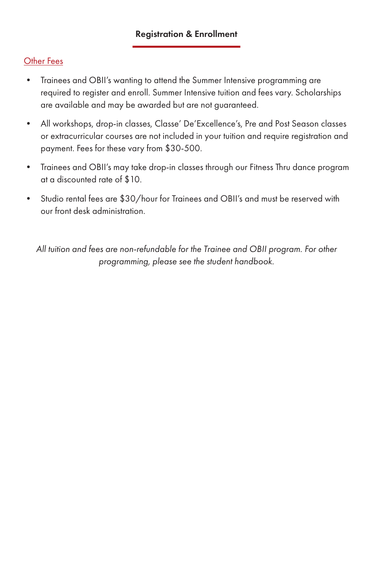## Registration & Enrollment

# Other Fees

- Trainees and OBII's wanting to attend the Summer Intensive programming are required to register and enroll. Summer Intensive tuition and fees vary. Scholarships are available and may be awarded but are not guaranteed.
- All workshops, drop-in classes, Classe' De'Excellence's, Pre and Post Season classes or extracurricular courses are not included in your tuition and require registration and payment. Fees for these vary from \$30-500.
- Trainees and OBII's may take drop-in classes through our Fitness Thru dance program at a discounted rate of \$10.
- Studio rental fees are \$30/hour for Trainees and OBII's and must be reserved with our front desk administration.

*All tuition and fees are non-refundable for the Trainee and OBII program. For other programming, please see the student handbook.*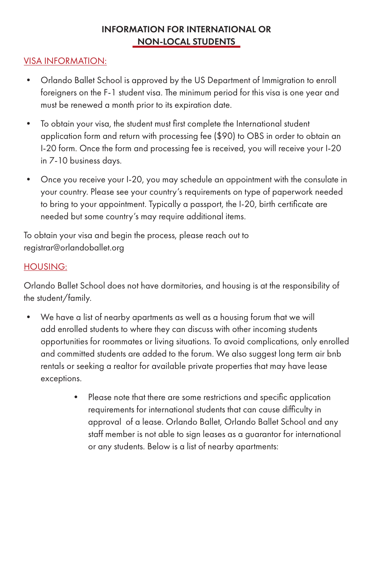# INFORMATION FOR INTERNATIONAL OR NON-LOCAL STUDENTS

# VISA INFORMATION:

- Orlando Ballet School is approved by the US Department of Immigration to enroll foreigners on the F-1 student visa. The minimum period for this visa is one year and must be renewed a month prior to its expiration date.
- To obtain your visa, the student must first complete the International student application form and return with processing fee (\$90) to OBS in order to obtain an I-20 form. Once the form and processing fee is received, you will receive your I-20 in 7-10 business days.
- Once you receive your I-20, you may schedule an appointment with the consulate in your country. Please see your country's requirements on type of paperwork needed to bring to your appointment. Typically a passport, the I-20, birth certificate are needed but some country's may require additional items.

To obtain your visa and begin the process, please reach out to registrar@orlandoballet.org

#### HOUSING:

Orlando Ballet School does not have dormitories, and housing is at the responsibility of the student/family.

- We have a list of nearby apartments as well as a housing forum that we will add enrolled students to where they can discuss with other incoming students opportunities for roommates or living situations. To avoid complications, only enrolled and committed students are added to the forum. We also suggest long term air bnb rentals or seeking a realtor for available private properties that may have lease exceptions.
	- Please note that there are some restrictions and specific application requirements for international students that can cause difficulty in approval of a lease. Orlando Ballet, Orlando Ballet School and any staff member is not able to sign leases as a guarantor for international or any students. Below is a list of nearby apartments: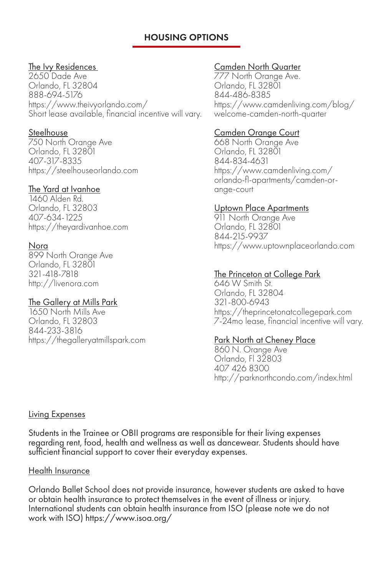# HOUSING OPTIONS

#### The Ivy Residences

2650 Dade Ave Orlando, FL 32804 888-694-5176 https://www.theivyorlando.com/ Short lease available, financial incentive will vary.

#### **Steelhouse**

750 North Orange Ave Orlando, FL 32801 407-317-8335 https://steelhouseorlando.com

#### The Yard at Ivanhoe

1460 Alden Rd. Orlando, FL 32803 407-634-1225 https://theyardivanhoe.com

#### Nora

899 North Orange Ave Orlando, FL 32801 321-418-7818 http://livenora.com

#### The Gallery at Mills Park

1650 North Mills Ave Orlando, FL 32803 844-233-3816 https://thegalleryatmillspark.com

#### Camden North Quarter

777 North Orange Ave. Orlando, FL 32801 844-486-8385 https://www.camdenliving.com/blog/ welcome-camden-north-quarter

#### Camden Orange Court

668 North Orange Ave Orlando, FL 32801 844-834-4631 https://www.camdenliving.com/ orlando-fl-apartments/camden-orange-court

#### Uptown Place Apartments

911 North Orange Ave Orlando, FL 32801 844-215-9937 https://www.uptownplaceorlando.com

#### The Princeton at College Park

646 W Smith St. Orlando, FL 32804 321-800-6943 https://theprincetonatcollegepark.com 7-24mo lease, financial incentive will vary.

#### Park North at Cheney Place

860 N. Orange Ave Orlando, Fl 32803 407 426 8300 http://parknorthcondo.com/index.html

#### Living Expenses

Students in the Trainee or OBII programs are responsible for their living expenses regarding rent, food, health and wellness as well as dancewear. Students should have sufficient financial support to cover their everyday expenses.

#### Health Insurance

Orlando Ballet School does not provide insurance, however students are asked to have or obtain health insurance to protect themselves in the event of illness or injury. International students can obtain health insurance from ISO (please note we do not work with ISO) https://www.isoa.org/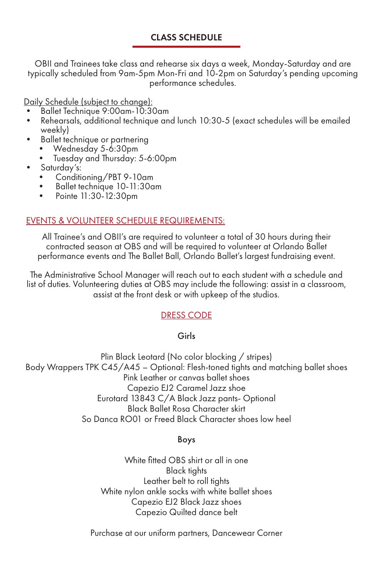## CLASS SCHEDULE

OBII and Trainees take class and rehearse six days a week, Monday-Saturday and are typically scheduled from 9am-5pm Mon-Fri and 10-2pm on Saturday's pending upcoming performance schedules.

Daily Schedule (subject to change):<br>• Ballet Technique 9:00am-10:30am

- 
- Rehearsals, additional technique and lunch 10:30-5 (exact schedules will be emailed weekly)
- Ballet technique or partnering<br>• Wednesday 5-6:30pm
	-
- Tuesday and Thursday: 5-6:00pm<br>• Saturday's:
- -
	- Conditioning/PBT 9-10am Ballet technique 10-11:30am Pointe 11:30-12:30pm
	-

#### EVENTS & VOLUNTEER SCHEDULE REQUIREMENTS:

All Trainee's and OBII's are required to volunteer a total of 30 hours during their contracted season at OBS and will be required to volunteer at Orlando Ballet performance events and The Ballet Ball, Orlando Ballet's largest fundraising event.

The Administrative School Manager will reach out to each student with a schedule and list of duties. Volunteering duties at OBS may include the following: assist in a classroom, assist at the front desk or with upkeep of the studios.

# DRESS CODE

#### Girls

Plin Black Leotard (No color blocking / stripes) Body Wrappers TPK C45/A45 – Optional: Flesh-toned tights and matching ballet shoes Pink Leather or canvas ballet shoes Capezio EJ2 Caramel Jazz shoe Eurotard 13843 C/A Black Jazz pants- Optional Black Ballet Rosa Character skirt So Danca RO01 or Freed Black Character shoes low heel

#### Boys

White fitted OBS shirt or all in one Black tights Leather belt to roll tights White nylon ankle socks with white ballet shoes Capezio EJ2 Black Jazz shoes Capezio Quilted dance belt

Purchase at our uniform partners, Dancewear Corner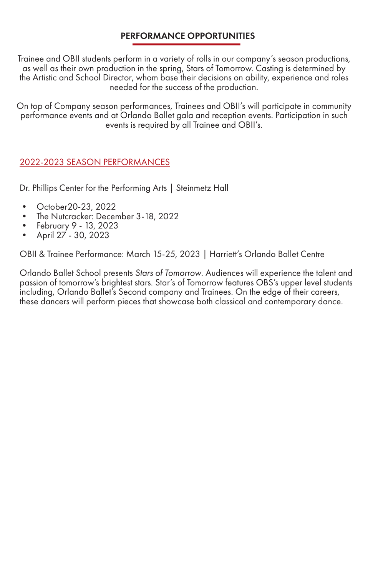# PERFORMANCE OPPORTUNITIES

Trainee and OBII students perform in a variety of rolls in our company's season productions, as well as their own production in the spring, Stars of Tomorrow. Casting is determined by the Artistic and School Director, whom base their decisions on ability, experience and roles needed for the success of the production.

On top of Company season performances, Trainees and OBII's will participate in community performance events and at Orlando Ballet gala and reception events. Participation in such events is required by all Trainee and OBII's.

#### 2022-2023 SEASON PERFORMANCES

Dr. Phillips Center for the Performing Arts | Steinmetz Hall

- October20-23, 2022
- The Nutcracker: December 3-18, 2022
- February 9 13, 2023
- April 27 30, 2023

OBII & Trainee Performance: March 15-25, 2023 | Harriett's Orlando Ballet Centre

Orlando Ballet School presents *Stars of Tomorrow*. Audiences will experience the talent and passion of tomorrow's brightest stars. Star's of Tomorrow features OBS's upper level students including, Orlando Ballet's Second company and Trainees. On the edge of their careers, these dancers will perform pieces that showcase both classical and contemporary dance.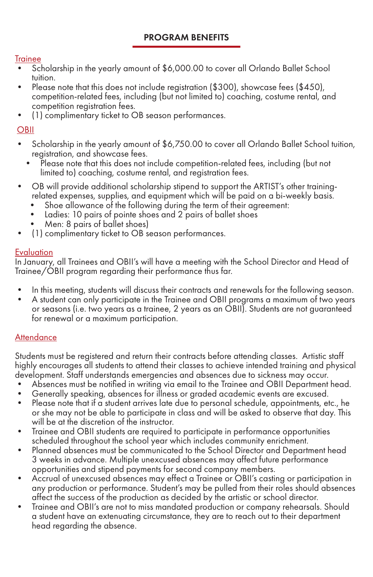# PROGRAM BENEFITS

#### **Trainee**

- Scholarship in the yearly amount of \$6,000.00 to cover all Orlando Ballet School tuition.
- Please note that this does not include registration (\$300), showcase fees (\$450), competition-related fees, including (but not limited to) coaching, costume rental, and competition registration fees. • (1) complimentary ticket to OB season performances.
- 

# **OBII**

- Scholarship in the yearly amount of \$6,750.00 to cover all Orlando Ballet School tuition, registration, and showcase fees.
	- Please note that this does not include competition-related fees, including (but not limited to) coaching, costume rental, and registration fees.
- OB will provide additional scholarship stipend to support the ARTIST's other trainingrelated expenses, supplies, and equipment which will be paid on a bi-weekly basis.
	- Shoe allowance of the following during the term of their agreement:
	- Ladies: 10 pairs of pointe shoes and 2 pairs of ballet shoes
	- Men: 8 pairs of ballet shoes)
- (1) complimentary ticket to OB season performances.

# **Evaluation**

In January, all Trainees and OBII's will have a meeting with the School Director and Head of Trainee/OBII program regarding their performance thus far.

- 
- In this meeting, students will discuss their contracts and renewals for the following season.<br>A student can only participate in the Trainee and OBII programs a maximum of two years or seasons (i.e. two years as a trainee, 2 years as an OBII). Students are not guaranteed for renewal or a maximum participation.

# **Attendance**

Students must be registered and return their contracts before attending classes. Artistic staff highly encourages all students to attend their classes to achieve intended training and physical development. Staff understands emergencies and absences due to sickness may occur.

- Absences must be notified in writing via email to the Trainee and OBII Department head.
- Generally speaking, absences for illness or graded academic events are excused.
- Please note that if a student arrives late due to personal schedule, appointments, etc., he or she may not be able to participate in class and will be asked to observe that day. This will be at the discretion of the instructor.
- Trainee and OBII students are required to participate in performance opportunities scheduled throughout the school year which includes community enrichment.
- Planned absences must be communicated to the School Director and Department head 3 weeks in advance. Multiple unexcused absences may affect future performance opportunities and stipend payments for second company members.
- Accrual of unexcused absences may effect a Trainee or OBII's casting or participation in any production or performance. Student's may be pulled from their roles should absences affect the success of the production as decided by the artistic or school director.
- Trainee and OBII's are not to miss mandated production or company rehearsals. Should a student have an extenuating circumstance, they are to reach out to their department head regarding the absence.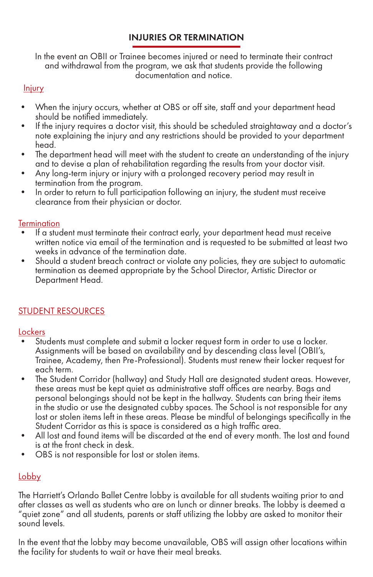# INJURIES OR TERMINATION

In the event an OBII or Trainee becomes injured or need to terminate their contract and withdrawal from the program, we ask that students provide the following documentation and notice.

# **Injury**

- When the injury occurs, whether at OBS or off site, staff and your department head should be notified immediately.
- If the injury requires a doctor visit, this should be scheduled straightaway and a doctor's note explaining the injury and any restrictions should be provided to your department head.
- The department head will meet with the student to create an understanding of the injury and to devise a plan of rehabilitation regarding the results from your doctor visit.
- Any long-term injury or injury with a prolonged recovery period may result in termination from the program.
- In order to return to full participation following an injury, the student must receive clearance from their physician or doctor.

#### **Termination**

- If a student must terminate their contract early, your department head must receive written notice via email of the termination and is requested to be submitted at least two weeks in advance of the termination date.
- Should a student breach contract or violate any policies, they are subject to automatic termination as deemed appropriate by the School Director, Artistic Director or Department Head.

# STUDENT RESOURCES

# Lockers

- Students must complete and submit a locker request form in order to use a locker. Assignments will be based on availability and by descending class level (OBII's, Trainee, Academy, then Pre-Professional). Students must renew their locker request for each term.
- The Student Corridor (hallway) and Study Hall are designated student areas. However, these areas must be kept quiet as administrative staff offices are nearby. Bags and personal belongings should not be kept in the hallway. Students can bring their items in the studio or use the designated cubby spaces. The School is not responsible for any lost or stolen items left in these areas. Please be mindful of belongings specifically in the
- All lost and found items will be discarded at the end of every month. The lost and found is at the front check in desk.
- OBS is not responsible for lost or stolen items.

# **Lobby**

The Harriett's Orlando Ballet Centre lobby is available for all students waiting prior to and after classes as well as students who are on lunch or dinner breaks. The lobby is deemed a "quiet zone" and all students, parents or staff utilizing the lobby are asked to monitor their sound levels.

In the event that the lobby may become unavailable, OBS will assign other locations within the facility for students to wait or have their meal breaks.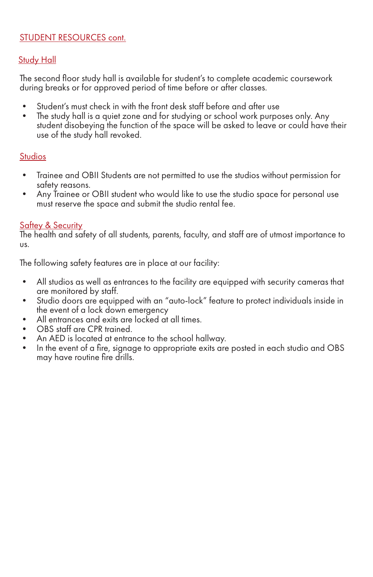#### STUDENT RESOURCES cont.

#### **Study Hall**

The second floor study hall is available for student's to complete academic coursework during breaks or for approved period of time before or after classes.

- Student's must check in with the front desk staff before and after use
- The study hall is a quiet zone and for studying or school work purposes only. Any student disobeying the function of the space will be asked to leave or could have their use of the study hall revoked.

#### **Studios**

- Trainee and OBII Students are not permitted to use the studios without permission for
- safety reasons.<br>Any Trainee or OBII student who would like to use the studio space for personal use must reserve the space and submit the studio rental fee.

#### **Saftey & Security**

The health and safety of all students, parents, faculty, and staff are of utmost importance to us.

The following safety features are in place at our facility:

- All studios as well as entrances to the facility are equipped with security cameras that are monitored by staff.
- Studio doors are equipped with an "auto-lock" feature to protect individuals inside in the event of a lock down emergency
- All entrances and exits are locked at all times.
- OBS staff are CPR trained.
- An AED is located at entrance to the school hallway.
- In the event of a fire, signage to appropriate exits are posted in each studio and OBS may have routine fire drills.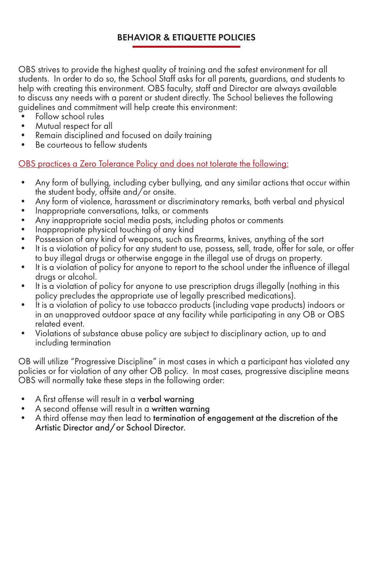# BEHAVIOR & ETIQUETTE POLICIES

OBS strives to provide the highest quality of training and the safest environment for all students. In order to do so, the School Staff asks for all parents, guardians, and students to help with creating this environment. OBS faculty, staff and Director are always available to discuss any needs with a parent or student directly. The School believes the following guidelines and commitment will help create this environment:

- Follow school rules
- Mutual respect for all
- Remain disciplined and focused on daily training
- Be courteous to fellow students

OBS practices a Zero Tolerance Policy and does not tolerate the following:

- Any form of bullying, including cyber bullying, and any similar actions that occur within the student body, offsite and/or onsite.
- Any form of violence, harassment or discriminatory remarks, both verbal and physical
- Inappropriate conversations, talks, or comments
- Any inappropriate social media posts, including photos or comments
- Inappropriate physical touching of any kind
- Possession of any kind of weapons, such as firearms, knives, anything of the sort
- It is a violation of policy for any student to use, possess, sell, trade, offer for sale, or offer to buy illegal drugs or otherwise engage in the illegal use of drugs on property.
- It is a violation of policy for anyone to report to the school under the influence of illegal drugs or alcohol.
- It is a violation of policy for anyone to use prescription drugs illegally (nothing in this policy precludes the appropriate use of legally prescribed medications).
- It is a violation of policy to use tobacco products (including vape products) indoors or in an unapproved outdoor space at any facility while participating in any OB or OBS related event.
- Violations of substance abuse policy are subject to disciplinary action, up to and including termination

OB will utilize "Progressive Discipline" in most cases in which a participant has violated any policies or for violation of any other OB policy. In most cases, progressive discipline means OBS will normally take these steps in the following order:

- 
- 
- A first offense will result in a **verbal warning**<br>• A second offense will result in a **written warning**<br>• A third offense may then lead to **termination of engagement at the discretion of the** Artistic Director and/or School Director.